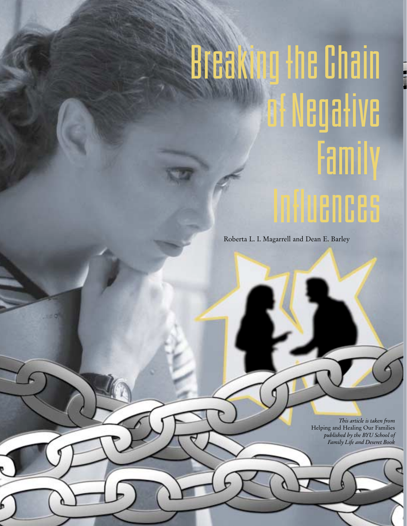## Breaking the Chain of Negative Family Influences

Roberta L. I. Magarrell and Dean E. Barley

*This article is taken from*  Helping and Healing Our Families *published by the BYU School of Family Life and Deseret Book*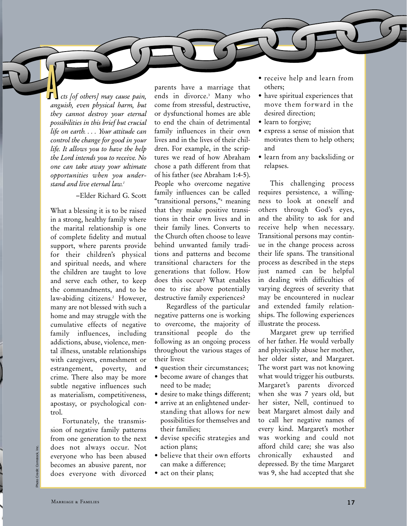*cts [of others] may cause pain, anguish, even physical harm, but they cannot destroy your eternal possibilities in this brief but crucial life on earth. . . . Your attitude can control the change for good in your life. It allows you to have the help the Lord intends you to receive. No one can take away your ultimate opportunities when you understand and live eternal law.1* **A** 

## –Elder Richard G. Scott

What a blessing it is to be raised in a strong, healthy family where the marital relationship is one of complete fidelity and mutual support, where parents provide for their children's physical and spiritual needs, and where the children are taught to love and serve each other, to keep the commandments, and to be law-abiding citizens.<sup>2</sup> However, many are not blessed with such a home and may struggle with the cumulative effects of negative family influences, including addictions, abuse, violence, mental illness, unstable relationships with caregivers, enmeshment or estrangement, poverty, and crime. There also may be more subtle negative influences such as materialism, competitiveness, apostasy, or psychological control.

Fortunately, the transmission of negative family patterns from one generation to the next does not always occur. Not everyone who has been abused becomes an abusive parent, nor does everyone with divorced

parents have a marriage that ends in divorce.3 Many who come from stressful, destructive, or dysfunctional homes are able to end the chain of detrimental family influences in their own lives and in the lives of their children. For example, in the scriptures we read of how Abraham chose a path different from that of his father (see Abraham 1:4-5). People who overcome negative family influences can be called "transitional persons,"4 meaning that they make positive transitions in their own lives and in their family lines. Converts to the Church often choose to leave behind unwanted family traditions and patterns and become transitional characters for the generations that follow. How does this occur? What enables one to rise above potentially destructive family experiences?

Regardless of the particular negative patterns one is working to overcome, the majority of transitional people do the following as an ongoing process throughout the various stages of their lives:

- question their circumstances;
- become aware of changes that need to be made;
- desire to make things different;
- arrive at an enlightened understanding that allows for new possibilities for themselves and their families;
- devise specific strategies and action plans;
- believe that their own efforts can make a difference;
- act on their plans;
- receive help and learn from others;
- have spiritual experiences that move them forward in the desired direction;
- learn to forgive;
- express a sense of mission that motivates them to help others; and
- learn from any backsliding or relapses.

This challenging process requires persistence, a willingness to look at oneself and others through God's eyes, and the ability to ask for and receive help when necessary. Transitional persons may continue in the change process across their life spans. The transitional process as described in the steps just named can be helpful in dealing with difficulties of varying degrees of severity that may be encountered in nuclear and extended family relationships. The following experiences illustrate the process.

Margaret grew up terrified of her father. He would verbally and physically abuse her mother, her older sister, and Margaret. The worst part was not knowing what would trigger his outbursts. Margaret's parents divorced when she was 7 years old, but her sister, Nell, continued to beat Margaret almost daily and to call her negative names of every kind. Margaret's mother was working and could not afford child care; she was also chronically exhausted and depressed. By the time Margaret was 9, she had accepted that she

Photo Credit: Comstock, Inc.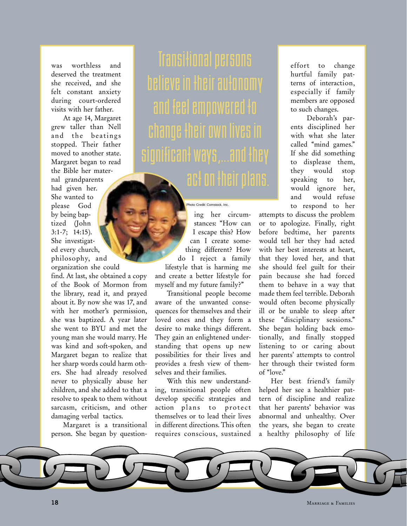was worthless and deserved the treatment she received, and she felt constant anxiety during court-ordered visits with her father.

At age 14, Margaret grew taller than Nell and the beatings stopped. Their father moved to another state. Margaret began to read the Bible her maternal grandparents had given her. She wanted to please God by being baptized (John 3:1-7; 14:15). She investigated every church, philosophy, and organization she could

find. At last, she obtained a copy of the Book of Mormon from the library, read it, and prayed about it. By now she was 17, and with her mother's permission, she was baptized. A year later she went to BYU and met the young man she would marry. He was kind and soft-spoken, and Margaret began to realize that her sharp words could harm others. She had already resolved never to physically abuse her children, and she added to that a resolve to speak to them without sarcasm, criticism, and other damaging verbal tactics.

Margaret is a transitional person. She began by question-

Transitional persons believe in their autonomy and feel empowered to change their own lives in significant ways,...and they act on their plans.

Photo Credit: Comstock, Inc.

ing her circumstances: "How can I escape this? How can I create something different? How do I reject a family lifestyle that is harming me and create a better lifestyle for myself and my future family?"

Transitional people become aware of the unwanted consequences for themselves and their loved ones and they form a desire to make things different. They gain an enlightened understanding that opens up new possibilities for their lives and provides a fresh view of themselves and their families.

With this new understanding, transitional people often develop specific strategies and action plans to protect themselves or to lead their lives in different directions. This often requires conscious, sustained

effort to change hurtful family patterns of interaction, especially if family members are opposed to such changes.

Deborah's parents disciplined her with what she later called "mind games." If she did something to displease them, they would stop speaking to her, would ignore her, and would refuse to respond to her

attempts to discuss the problem or to apologize. Finally, right before bedtime, her parents would tell her they had acted with her best interests at heart, that they loved her, and that she should feel guilt for their pain because she had forced them to behave in a way that made them feel terrible. Deborah would often become physically ill or be unable to sleep after these "disciplinary sessions." She began holding back emotionally, and finally stopped listening to or caring about her parents' attempts to control her through their twisted form of "love."

Her best friend's family helped her see a healthier pattern of discipline and realize that her parents' behavior was abnormal and unhealthy. Over the years, she began to create a healthy philosophy of life



**18** Marriage & Families **Marriage & Families**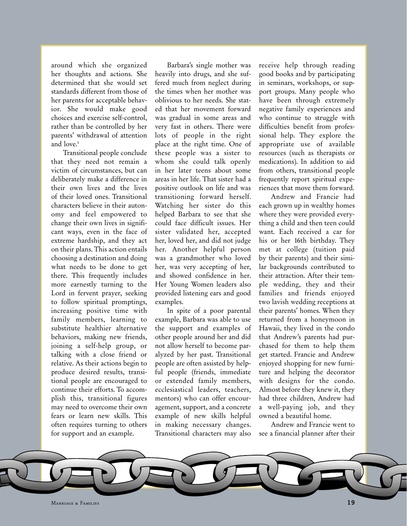around which she organized her thoughts and actions. She determined that she would set standards different from those of her parents for acceptable behavior. She would make good choices and exercise self-control, rather than be controlled by her parents' withdrawal of attention and love.<sup>5</sup>

Transitional people conclude that they need not remain a victim of circumstances, but can deliberately make a difference in their own lives and the lives of their loved ones. Transitional characters believe in their autonomy and feel empowered to change their own lives in significant ways, even in the face of extreme hardship, and they act on their plans. This action entails choosing a destination and doing what needs to be done to get there. This frequently includes more earnestly turning to the Lord in fervent prayer, seeking to follow spiritual promptings, increasing positive time with family members, learning to substitute healthier alternative behaviors, making new friends, joining a self-help group, or talking with a close friend or relative. As their actions begin to produce desired results, transitional people are encouraged to continue their efforts. To accomplish this, transitional figures may need to overcome their own fears or learn new skills. This often requires turning to others for support and an example.

Barbara's single mother was heavily into drugs, and she suffered much from neglect during the times when her mother was oblivious to her needs. She stated that her movement forward was gradual in some areas and very fast in others. There were lots of people in the right place at the right time. One of these people was a sister to whom she could talk openly in her later teens about some areas in her life. That sister had a positive outlook on life and was transitioning forward herself. Watching her sister do this helped Barbara to see that she could face difficult issues. Her sister validated her, accepted her, loved her, and did not judge her. Another helpful person was a grandmother who loved her, was very accepting of her, and showed confidence in her. Her Young Women leaders also provided listening ears and good examples.

In spite of a poor parental example, Barbara was able to use the support and examples of other people around her and did not allow herself to become paralyzed by her past. Transitional people are often assisted by helpful people (friends, immediate or extended family members, ecclesiastical leaders, teachers, mentors) who can offer encouragement, support, and a concrete example of new skills helpful in making necessary changes. Transitional characters may also

receive help through reading good books and by participating in seminars, workshops, or support groups. Many people who have been through extremely negative family experiences and who continue to struggle with difficulties benefit from professional help. They explore the appropriate use of available resources (such as therapists or medications). In addition to aid from others, transitional people frequently report spiritual experiences that move them forward.

Andrew and Francie had each grown up in wealthy homes where they were provided everything a child and then teen could want. Each received a car for his or her 16th birthday. They met at college (tuition paid by their parents) and their similar backgrounds contributed to their attraction. After their temple wedding, they and their families and friends enjoyed two lavish wedding receptions at their parents' homes. When they returned from a honeymoon in Hawaii, they lived in the condo that Andrew's parents had purchased for them to help them get started. Francie and Andrew enjoyed shopping for new furniture and helping the decorator with designs for the condo. Almost before they knew it, they had three children, Andrew had a well-paying job, and they owned a beautiful home.

Andrew and Francie went to see a financial planner after their

Marriage & Families $\mathbf{s}$  **19**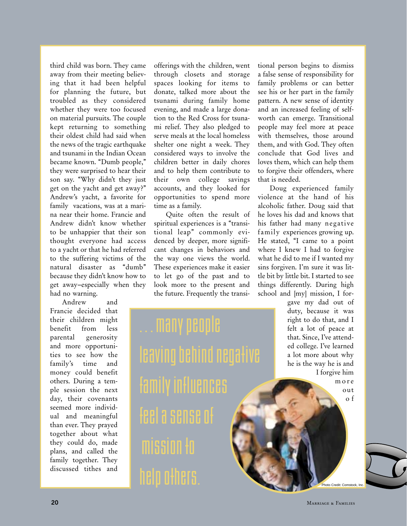third child was born. They came away from their meeting believing that it had been helpful for planning the future, but troubled as they considered whether they were too focused on material pursuits. The couple kept returning to something their oldest child had said when the news of the tragic earthquake and tsunami in the Indian Ocean became known. "Dumb people," they were surprised to hear their son say. "Why didn't they just get on the yacht and get away?" Andrew's yacht, a favorite for family vacations, was at a marina near their home. Francie and Andrew didn't know whether to be unhappier that their son thought everyone had access to a yacht or that he had referred to the suffering victims of the natural disaster as "dumb" because they didn't know how to get away–especially when they had no warning.

Andrew and Francie decided that their children might benefit from less parental generosity and more opportunities to see how the family's time and money could benefit others. During a temple session the next day, their covenants seemed more individual and meaningful than ever. They prayed together about what they could do, made plans, and called the family together. They discussed tithes and

offerings with the children, went through closets and storage spaces looking for items to donate, talked more about the tsunami during family home evening, and made a large donation to the Red Cross for tsunami relief. They also pledged to serve meals at the local homeless shelter one night a week. They considered ways to involve the children better in daily chores and to help them contribute to their own college savings accounts, and they looked for opportunities to spend more time as a family.

Quite often the result of spiritual experiences is a "transitional leap" commonly evidenced by deeper, more significant changes in behaviors and the way one views the world. These experiences make it easier to let go of the past and to look more to the present and the future. Frequently the transi-

. . . many people leaving behind negative family influences feel a sense o mission help others. Photo Credit: Comstant and

tional person begins to dismiss a false sense of responsibility for family problems or can better see his or her part in the family pattern. A new sense of identity and an increased feeling of selfworth can emerge. Transitional people may feel more at peace with themselves, those around them, and with God. They often conclude that God lives and loves them, which can help them to forgive their offenders, where that is needed.

Doug experienced family violence at the hand of his alcoholic father. Doug said that he loves his dad and knows that his father had many negative family experiences growing up. He stated, "I came to a point where I knew I had to forgive what he did to me if I wanted my sins forgiven. I'm sure it was little bit by little bit. I started to see things differently. During high school and [my] mission, I for-

> gave my dad out of duty, because it was right to do that, and I felt a lot of peace at that. Since, I've attended college. I've learned a lot more about why he is the way he is and I forgive him

more out o f

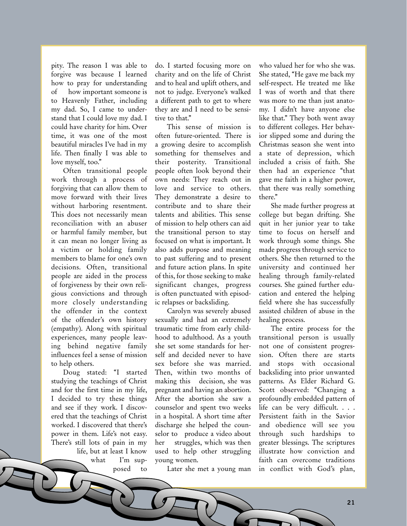pity. The reason I was able to forgive was because I learned how to pray for understanding of how important someone is to Heavenly Father, including my dad. So, I came to understand that I could love my dad. I could have charity for him. Over time, it was one of the most beautiful miracles I've had in my life. Then finally I was able to love myself, too."

Often transitional people work through a process of forgiving that can allow them to move forward with their lives without harboring resentment. This does not necessarily mean reconciliation with an abuser or harmful family member, but it can mean no longer living as a victim or holding family members to blame for one's own decisions. Often, transitional people are aided in the process of forgiveness by their own religious convictions and through more closely understanding the offender in the context of the offender's own history (empathy). Along with spiritual experiences, many people leaving behind negative family influences feel a sense of mission to help others.

Doug stated: "I started studying the teachings of Christ and for the first time in my life, I decided to try these things and see if they work. I discovered that the teachings of Christ worked. I discovered that there's power in them. Life's not easy. There's still lots of pain in my life, but at least I know what I'm supposed to do. I started focusing more on charity and on the life of Christ and to heal and uplift others, and not to judge. Everyone's walked a different path to get to where they are and I need to be sensitive to that."

This sense of mission is often future-oriented. There is a growing desire to accomplish something for themselves and their posterity. Transitional people often look beyond their own needs: They reach out in love and service to others. They demonstrate a desire to contribute and to share their talents and abilities. This sense of mission to help others can aid the transitional person to stay focused on what is important. It also adds purpose and meaning to past suffering and to present and future action plans. In spite of this, for those seeking to make significant changes, progress is often punctuated with episodic relapses or backsliding.

Carolyn was severely abused sexually and had an extremely traumatic time from early childhood to adulthood. As a youth she set some standards for herself and decided never to have sex before she was married. Then, within two months of making this decision, she was pregnant and having an abortion. After the abortion she saw a counselor and spent two weeks in a hospital. A short time after discharge she helped the counselor to produce a video about her struggles, which was then used to help other struggling young women.

Later she met a young man

who valued her for who she was. She stated, "He gave me back my self-respect. He treated me like I was of worth and that there was more to me than just anatomy. I didn't have anyone else like that." They both went away to different colleges. Her behavior slipped some and during the Christmas season she went into a state of depression, which included a crisis of faith. She then had an experience "that gave me faith in a higher power, that there was really something there."

She made further progress at college but began drifting. She quit in her junior year to take time to focus on herself and work through some things. She made progress through service to others. She then returned to the university and continued her healing through family-related courses. She gained further education and entered the helping field where she has successfully assisted children of abuse in the healing process.

The entire process for the transitional person is usually not one of consistent progression. Often there are starts and stops with occasional backsliding into prior unwanted patterns. As Elder Richard G. Scott observed: "Changing a profoundly embedded pattern of life can be very difficult. . . . Persistent faith in the Savior and obedience will see you through such hardships to greater blessings. The scriptures illustrate how conviction and faith can overcome traditions in conflict with God's plan,